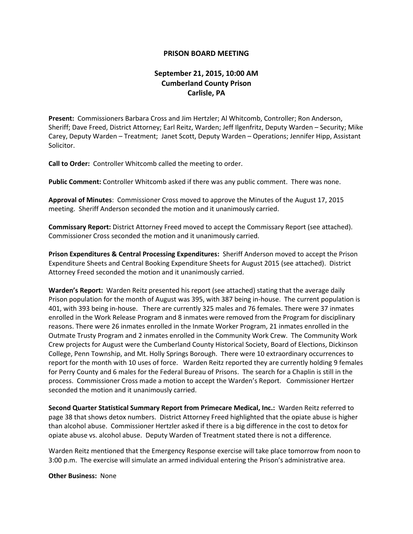## **PRISON BOARD MEETING**

## **September 21, 2015, 10:00 AM Cumberland County Prison Carlisle, PA**

**Present:** Commissioners Barbara Cross and Jim Hertzler; Al Whitcomb, Controller; Ron Anderson, Sheriff; Dave Freed, District Attorney; Earl Reitz, Warden; Jeff Ilgenfritz, Deputy Warden – Security; Mike Carey, Deputy Warden – Treatment; Janet Scott, Deputy Warden – Operations; Jennifer Hipp, Assistant Solicitor.

**Call to Order:** Controller Whitcomb called the meeting to order.

**Public Comment:** Controller Whitcomb asked if there was any public comment. There was none.

**Approval of Minutes**: Commissioner Cross moved to approve the Minutes of the August 17, 2015 meeting. Sheriff Anderson seconded the motion and it unanimously carried.

**Commissary Report:** District Attorney Freed moved to accept the Commissary Report (see attached). Commissioner Cross seconded the motion and it unanimously carried.

**Prison Expenditures & Central Processing Expenditures:** Sheriff Anderson moved to accept the Prison Expenditure Sheets and Central Booking Expenditure Sheets for August 2015 (see attached). District Attorney Freed seconded the motion and it unanimously carried.

**Warden's Report:** Warden Reitz presented his report (see attached) stating that the average daily Prison population for the month of August was 395, with 387 being in-house. The current population is 401, with 393 being in-house. There are currently 325 males and 76 females. There were 37 inmates enrolled in the Work Release Program and 8 inmates were removed from the Program for disciplinary reasons. There were 26 inmates enrolled in the Inmate Worker Program, 21 inmates enrolled in the Outmate Trusty Program and 2 inmates enrolled in the Community Work Crew. The Community Work Crew projects for August were the Cumberland County Historical Society, Board of Elections, Dickinson College, Penn Township, and Mt. Holly Springs Borough. There were 10 extraordinary occurrences to report for the month with 10 uses of force. Warden Reitz reported they are currently holding 9 females for Perry County and 6 males for the Federal Bureau of Prisons. The search for a Chaplin is still in the process. Commissioner Cross made a motion to accept the Warden's Report. Commissioner Hertzer seconded the motion and it unanimously carried.

**Second Quarter Statistical Summary Report from Primecare Medical, Inc.:** Warden Reitz referred to page 38 that shows detox numbers. District Attorney Freed highlighted that the opiate abuse is higher than alcohol abuse. Commissioner Hertzler asked if there is a big difference in the cost to detox for opiate abuse vs. alcohol abuse. Deputy Warden of Treatment stated there is not a difference.

Warden Reitz mentioned that the Emergency Response exercise will take place tomorrow from noon to 3:00 p.m. The exercise will simulate an armed individual entering the Prison's administrative area.

## **Other Business:** None